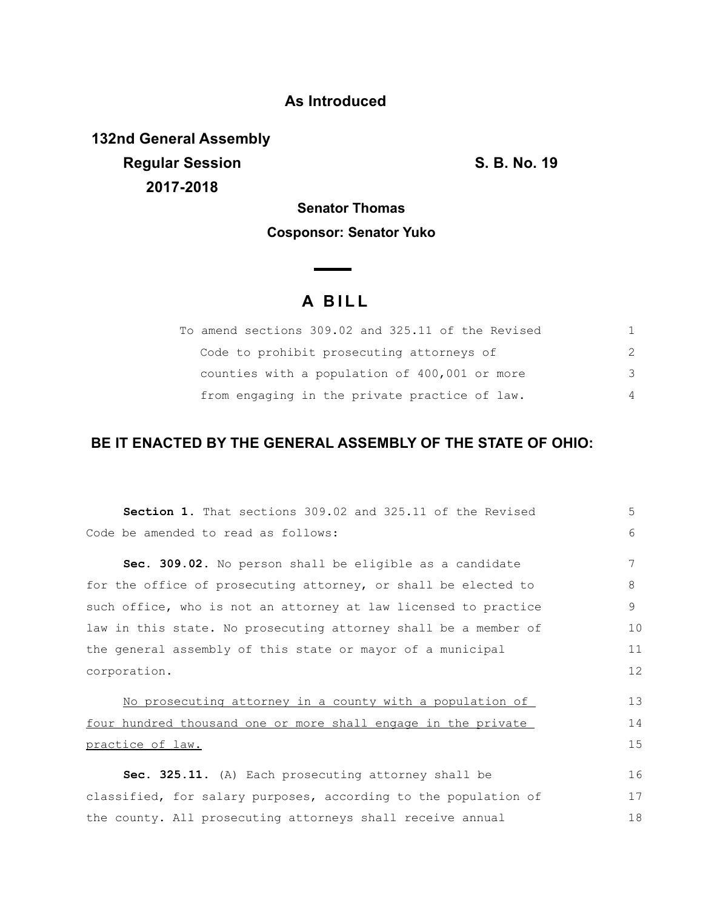### **As Introduced**

**132nd General Assembly Regular Session S. B. No. 19 2017-2018**

**Senator Thomas Cosponsor: Senator Yuko**

# **A B I L L**

**Contract Contract Contract** 

| To amend sections 309.02 and 325.11 of the Revised |               |
|----------------------------------------------------|---------------|
| Code to prohibit prosecuting attorneys of          |               |
| counties with a population of 400,001 or more      | $\mathcal{B}$ |
| from engaging in the private practice of law.      | 4             |

## **BE IT ENACTED BY THE GENERAL ASSEMBLY OF THE STATE OF OHIO:**

| <b>Section 1.</b> That sections 309.02 and 325.11 of the Revised | 5  |
|------------------------------------------------------------------|----|
| Code be amended to read as follows:                              | 6  |
| Sec. 309.02. No person shall be eligible as a candidate          | 7  |
| for the office of prosecuting attorney, or shall be elected to   | 8  |
| such office, who is not an attorney at law licensed to practice  | 9  |
| law in this state. No prosecuting attorney shall be a member of  | 10 |
| the general assembly of this state or mayor of a municipal       | 11 |
| corporation.                                                     | 12 |
| No prosecuting attorney in a county with a population of         | 13 |
| four hundred thousand one or more shall engage in the private    | 14 |
| practice of law.                                                 | 15 |
| Sec. 325.11. (A) Each prosecuting attorney shall be              | 16 |
| classified, for salary purposes, according to the population of  | 17 |
| the county. All prosecuting attorneys shall receive annual       | 18 |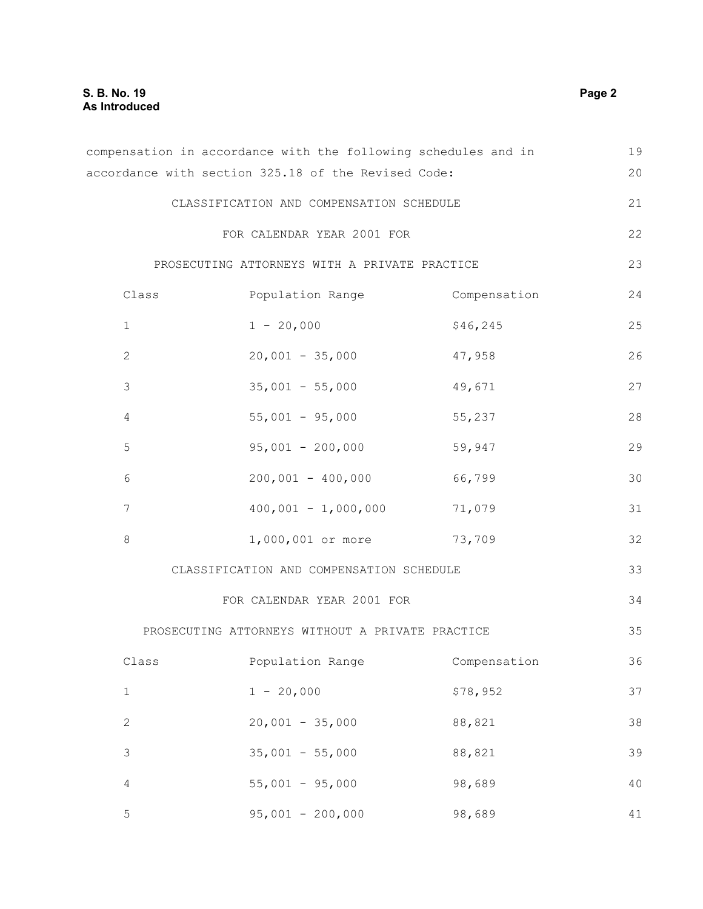|                  | compensation in accordance with the following schedules and in |              | 19     |
|------------------|----------------------------------------------------------------|--------------|--------|
|                  | accordance with section 325.18 of the Revised Code:            |              | 20     |
|                  | CLASSIFICATION AND COMPENSATION SCHEDULE                       |              | 21     |
|                  | FOR CALENDAR YEAR 2001 FOR                                     |              | 22     |
|                  | PROSECUTING ATTORNEYS WITH A PRIVATE PRACTICE                  |              | 23     |
| Class            | Population Range Compensation                                  |              | 24     |
| $\mathbf 1$      | $1 - 20,000$                                                   | \$46, 245    | 25     |
| $\mathbf{2}$     | $20,001 - 35,000$                                              | 47,958       | 26     |
| $\mathsf 3$      | $35,001 - 55,000$                                              | 49,671       | 27     |
| $\overline{4}$   | $55,001 - 95,000$                                              | 55,237       | 28     |
| 5                | $95,001 - 200,000$                                             | 59,947       | 29     |
| $\sqrt{6}$       | $200,001 - 400,000$ 66,799                                     |              | 30     |
| $\overline{7}$   | $400,001 - 1,000,000$ 71,079                                   |              | 31     |
| $\,8\,$          | 1,000,001 or more 73,709                                       |              | 32     |
|                  | CLASSIFICATION AND COMPENSATION SCHEDULE                       |              | 33     |
|                  | FOR CALENDAR YEAR 2001 FOR                                     |              | 34     |
|                  | PROSECUTING ATTORNEYS WITHOUT A PRIVATE PRACTICE               |              | 35     |
| $\texttt{Class}$ | Population Range                                               | Compensation | 36     |
| $\mathbf 1$      | $1 - 20,000$                                                   | \$78,952     | 37     |
| $\mathbf{2}$     | $20,001 - 35,000$                                              | 88,821       | 38     |
| $\mathsf 3$      | $35,001 - 55,000$                                              | 88,821       | 39     |
| $\sqrt{4}$       | $55,001 - 95,000$                                              | 98,689       | 40     |
| 5                | $95,001 - 200,000$                                             | 98,689       | $4\,1$ |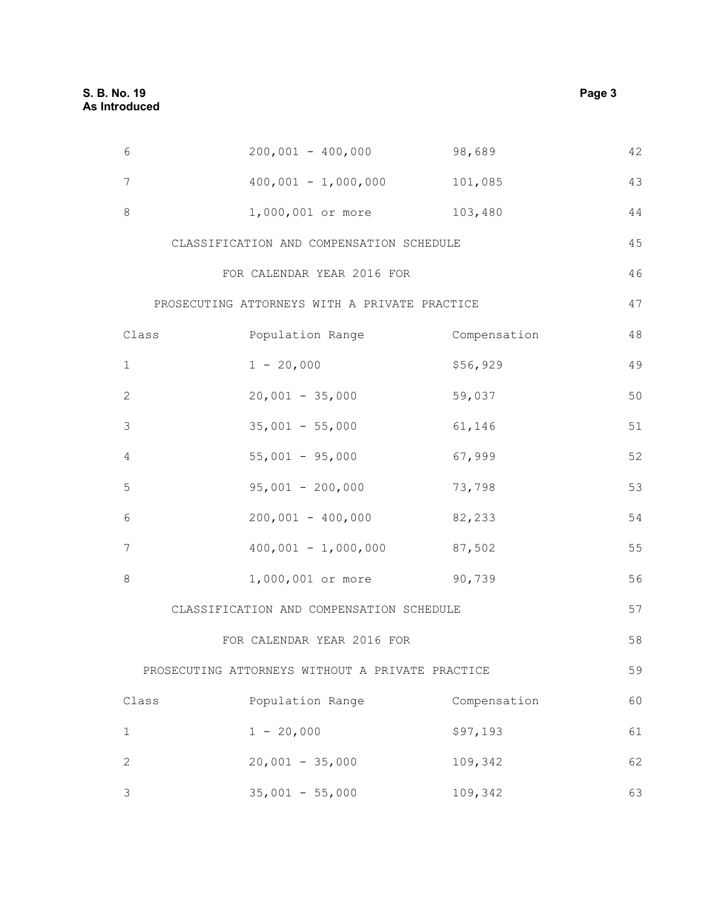| $\epsilon$  | $200,001 - 400,000$                              | 98,689       | 42 |
|-------------|--------------------------------------------------|--------------|----|
| 7           | $400,001 - 1,000,000$ 101,085                    |              | 43 |
| 8           | 1,000,001 or more 103,480                        |              | 44 |
|             | CLASSIFICATION AND COMPENSATION SCHEDULE         |              | 45 |
|             | FOR CALENDAR YEAR 2016 FOR                       |              | 46 |
|             | PROSECUTING ATTORNEYS WITH A PRIVATE PRACTICE    |              | 47 |
| Class       | Population Range                                 | Compensation | 48 |
| 1           | $1 - 20,000$                                     | \$56,929     | 49 |
| 2           | $20,001 - 35,000$                                | 59,037       | 50 |
| 3           | $35,001 - 55,000$                                | 61,146       | 51 |
| 4           | $55,001 - 95,000$                                | 67,999       | 52 |
| 5           | $95,001 - 200,000$                               | 73,798       | 53 |
| 6           | $200,001 - 400,000$                              | 82,233       | 54 |
| 7           | $400,001 - 1,000,000$ 87,502                     |              | 55 |
| 8           | 1,000,001 or more 90,739                         |              | 56 |
|             | CLASSIFICATION AND COMPENSATION SCHEDULE         |              | 57 |
|             | FOR CALENDAR YEAR 2016 FOR                       |              | 58 |
|             | PROSECUTING ATTORNEYS WITHOUT A PRIVATE PRACTICE |              | 59 |
| Class       | Population Range                                 | Compensation | 60 |
| $\mathbf 1$ | $1 - 20,000$                                     | \$97,193     | 61 |
| 2           | $20,001 - 35,000$                                | 109,342      | 62 |
| 3           | $35,001 - 55,000$                                | 109,342      | 63 |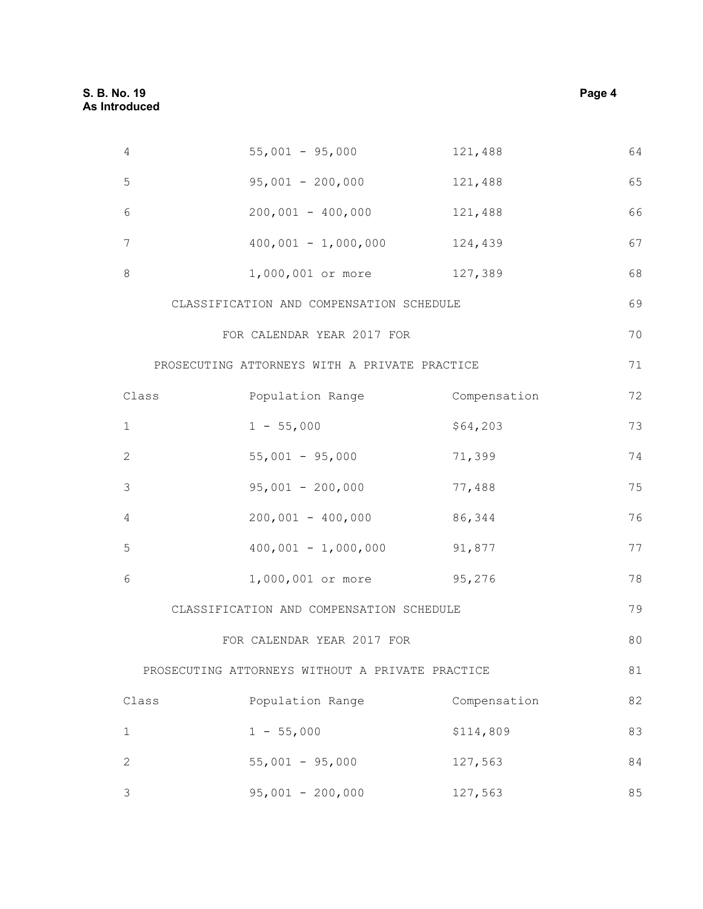4 55,001 - 95,000

95,001 - 200,000

| 121,488 |  |
|---------|--|
| 121,488 |  |

| 6 | $200,001 - 400,000$   | 121,488 | 66 |
|---|-----------------------|---------|----|
|   | $400,001 - 1,000,000$ | 124,439 | 67 |
| 8 | 1,000,001 or more     | 127,389 | 68 |

CLASSIFICATION AND COMPENSATION SCHEDULE 

### FOR CALENDAR YEAR 2017 FOR

PROSECUTING ATTORNEYS WITH A PRIVATE PRACTICE

| Class          | Population Range      | Compensation | 72 |
|----------------|-----------------------|--------------|----|
| $\mathbf{1}$   | $1 - 55,000$          | \$64,203     | 73 |
| 2              | $55,001 - 95,000$     | 71,399       | 74 |
| $\mathcal{S}$  | $95,001 - 200,000$    | 77,488       | 75 |
| $\overline{4}$ | $200,001 - 400,000$   | 86,344       | 76 |
| -5             | $400,001 - 1,000,000$ | 91,877       | 77 |
| 6              | 1,000,001 or more     | 95,276       | 78 |

#### CLASSIFICATION AND COMPENSATION SCHEDULE

### FOR CALENDAR YEAR 2017 FOR

PROSECUTING ATTORNEYS WITHOUT A PRIVATE PRACTICE 

| Class | Population Range   | Compensation | 82 |
|-------|--------------------|--------------|----|
| 1     | $1 - 55,000$       | \$114,809    | 83 |
| 2     | $55,001 - 95,000$  | 127,563      | 84 |
| 3     | $95,001 - 200,000$ | 127,563      | 85 |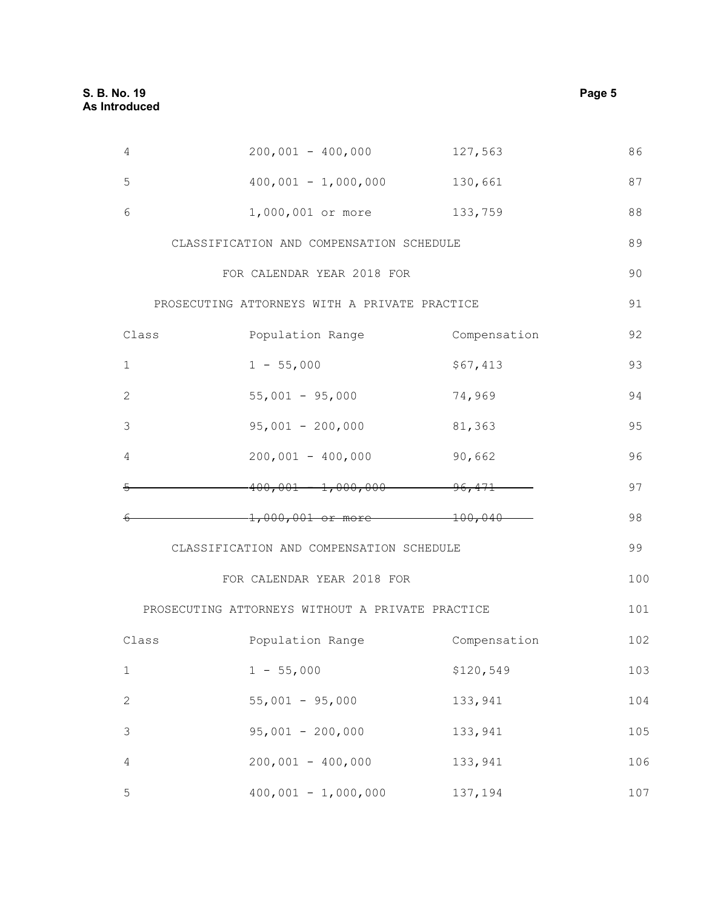| 4              | $200,001 - 400,000$                              | 127,563             | 86  |
|----------------|--------------------------------------------------|---------------------|-----|
| 5              | $400,001 - 1,000,000$                            | 130,661             | 87  |
| 6              | 1,000,001 or more                                | 133,759             | 88  |
|                | CLASSIFICATION AND COMPENSATION SCHEDULE         |                     | 89  |
|                | FOR CALENDAR YEAR 2018 FOR                       |                     | 90  |
|                | PROSECUTING ATTORNEYS WITH A PRIVATE PRACTICE    |                     | 91  |
| Class          | Population Range                                 | Compensation        | 92  |
| 1              | $1 - 55,000$                                     | \$67,413            | 93  |
| $\mathbf{2}$   | $55,001 - 95,000$                                | 74,969              | 94  |
| 3              | $95,001 - 200,000$                               | 81,363              | 95  |
| 4              | $200,001 - 400,000$                              | 90,662              | 96  |
| 틍              | $-400,001 - 1,000,000$                           | $-96,471$           | 97  |
|                | $-1,000,001$ or more-                            | $\frac{100,040}{2}$ | 98  |
|                | CLASSIFICATION AND COMPENSATION SCHEDULE         |                     | 99  |
|                | FOR CALENDAR YEAR 2018 FOR                       |                     | 100 |
|                | PROSECUTING ATTORNEYS WITHOUT A PRIVATE PRACTICE |                     | 101 |
| Class          | Population Range                                 | Compensation        | 102 |
| $\mathbf 1$    | $1 - 55,000$                                     | \$120,549           | 103 |
| $\sqrt{2}$     | $55,001 - 95,000$                                | 133,941             | 104 |
| $\mathfrak{Z}$ | $95,001 - 200,000$                               | 133,941             | 105 |
| $\overline{4}$ | $200,001 - 400,000$                              | 133,941             | 106 |
| $\mathsf S$    | $400,001 - 1,000,000$                            | 137,194             | 107 |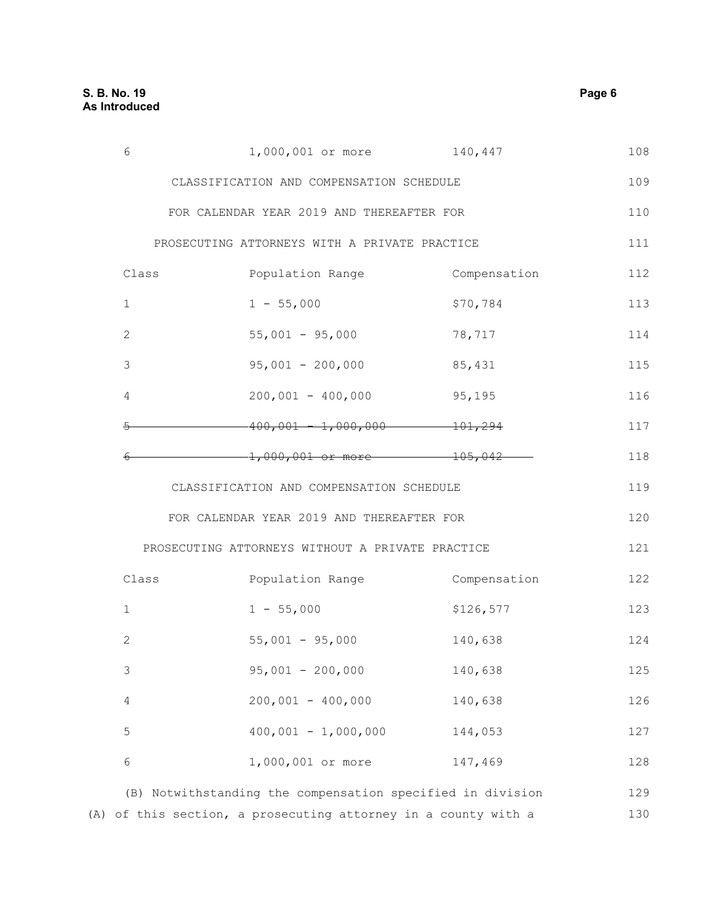| 6                                         | 1,000,001 or more                                | 140,447      | 108 |
|-------------------------------------------|--------------------------------------------------|--------------|-----|
| CLASSIFICATION AND COMPENSATION SCHEDULE  |                                                  |              | 109 |
|                                           | FOR CALENDAR YEAR 2019 AND THEREAFTER FOR        |              | 110 |
|                                           | PROSECUTING ATTORNEYS WITH A PRIVATE PRACTICE    |              | 111 |
| Class                                     | Population Range                                 | Compensation | 112 |
| 1                                         | $1 - 55,000$                                     | \$70,784     | 113 |
| 2                                         | $55,001 - 95,000$                                | 78,717       | 114 |
| 3                                         | $95,001 - 200,000$                               | 85,431       | 115 |
| 4                                         | $200,001 - 400,000$                              | 95,195       | 116 |
| ⋤                                         | $-400,001 - 1,000,000$                           | $-101,294$   | 117 |
|                                           | $-1,000,001$ or more                             | $ +05,042$   | 118 |
| CLASSIFICATION AND COMPENSATION SCHEDULE  |                                                  |              |     |
| FOR CALENDAR YEAR 2019 AND THEREAFTER FOR |                                                  |              | 120 |
|                                           | PROSECUTING ATTORNEYS WITHOUT A PRIVATE PRACTICE |              | 121 |
| Class                                     | Population Range                                 | Compensation | 122 |
| $\mathbf{1}$                              | $1 - 55,000$                                     | \$126,577    | 123 |
| $\mathbf{2}$                              | $55,001 - 95,000$                                | 140,638      | 124 |
| $\mathfrak{Z}$                            | $95,001 - 200,000$                               | 140,638      | 125 |
| $\overline{4}$                            | $200,001 - 400,000$                              | 140,638      | 126 |
| $\mathsf S$                               | $400,001 - 1,000,000$                            | 144,053      | 127 |
| $\epsilon$                                | 1,000,001 or more                                | 147,469      | 128 |

(B) Notwithstanding the compensation specified in division 129 (A) of this section, a prosecuting attorney in a county with a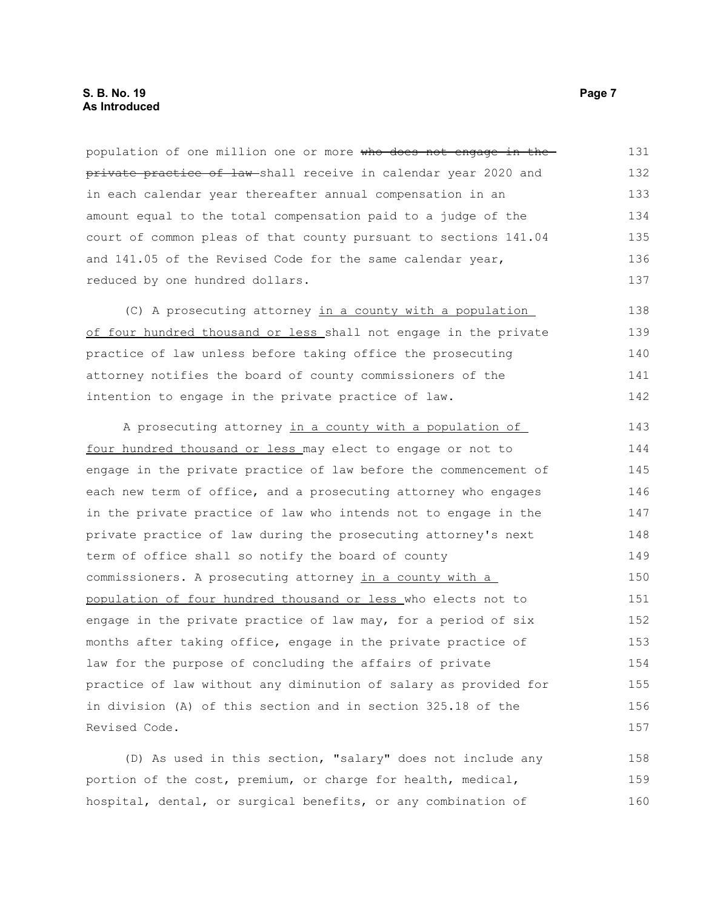population of one million one or more who does not engage in the private practice of law shall receive in calendar year 2020 and in each calendar year thereafter annual compensation in an amount equal to the total compensation paid to a judge of the court of common pleas of that county pursuant to sections 141.04 and 141.05 of the Revised Code for the same calendar year, reduced by one hundred dollars. 131 132 133 134 135 136 137

(C) A prosecuting attorney in a county with a population of four hundred thousand or less shall not engage in the private practice of law unless before taking office the prosecuting attorney notifies the board of county commissioners of the intention to engage in the private practice of law. 138 139 140 141 142

A prosecuting attorney in a county with a population of four hundred thousand or less may elect to engage or not to engage in the private practice of law before the commencement of each new term of office, and a prosecuting attorney who engages in the private practice of law who intends not to engage in the private practice of law during the prosecuting attorney's next term of office shall so notify the board of county commissioners. A prosecuting attorney in a county with a population of four hundred thousand or less who elects not to engage in the private practice of law may, for a period of six months after taking office, engage in the private practice of law for the purpose of concluding the affairs of private practice of law without any diminution of salary as provided for in division (A) of this section and in section 325.18 of the Revised Code. 143 144 145 146 147 148 149 150 151 152 153 154 155 156 157

(D) As used in this section, "salary" does not include any portion of the cost, premium, or charge for health, medical, hospital, dental, or surgical benefits, or any combination of 158 159 160